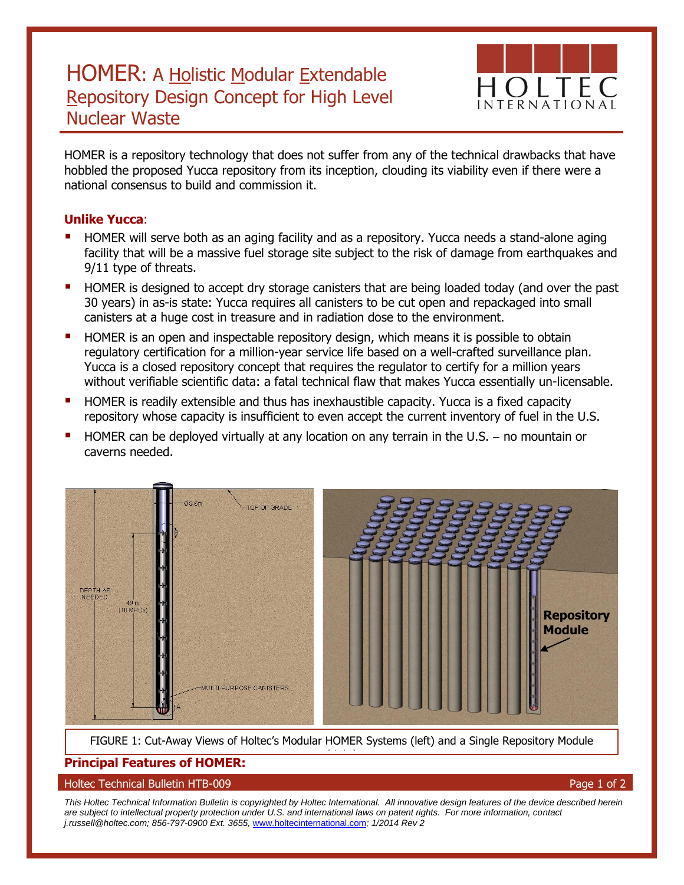# HOMER: A Holistic Modular Extendable Repository Design Concept for High Level Nuclear Waste



HOMER is a repository technology that does not suffer from any of the technical drawbacks that have hobbled the proposed Yucca repository from its inception, clouding its viability even if there were a national consensus to build and commission it.

### **Unlike Yucca**:

- HOMER will serve both as an aging facility and as a repository. Yucca needs a stand-alone aging facility that will be a massive fuel storage site subject to the risk of damage from earthquakes and 9/11 type of threats.
- HOMER is designed to accept dry storage canisters that are being loaded today (and over the past 30 years) in as-is state: Yucca requires all canisters to be cut open and repackaged into small canisters at a huge cost in treasure and in radiation dose to the environment.
- HOMER is an open and inspectable repository design, which means it is possible to obtain regulatory certification for a million-year service life based on a well-crafted surveillance plan. Yucca is a closed repository concept that requires the regulator to certify for a million years without verifiable scientific data: a fatal technical flaw that makes Yucca essentially un-licensable.
- HOMER is readily extensible and thus has inexhaustible capacity. Yucca is a fixed capacity repository whose capacity is insufficient to even accept the current inventory of fuel in the U.S.
- $HOMER$  can be deployed virtually at any location on any terrain in the U.S.  $-$  no mountain or caverns needed.



FIGURE 1: Cut-Away Views of Holtec's Modular HOMER Systems (left) and a Single Repository Module (right)

## **Principal Features of HOMER:**

#### Holtec Technical Bulletin HTB-009 Page 1 of 2

*This Holtec Technical Information Bulletin is copyrighted by Holtec International. All innovative design features of the device described herein are subject to intellectual property protection under U.S. and international laws on patent rights. For more information, contact j.russell@holtec.com; 856-797-0900 Ext. 3655,* [www.holtecinternational.com](http://www.holtecinternational.com/)*; 1/2014 Rev 2*